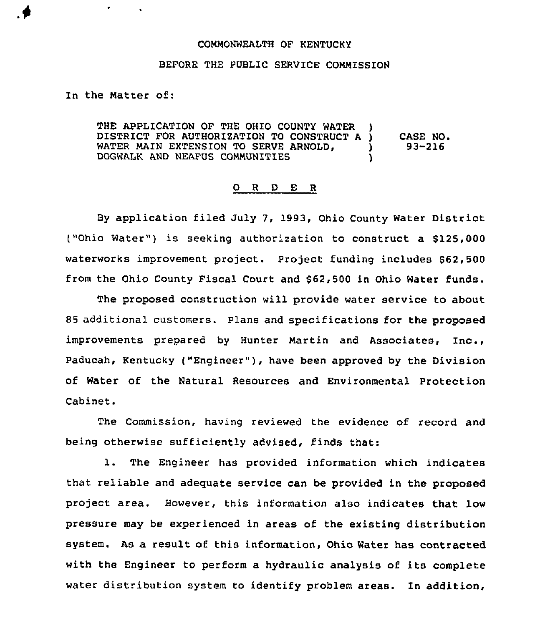## COMMONWEALTH OF KENTUCKY

## BEFORE THE PUBLIC SERVICE COMMISSION

In the Matter of:

THE APPLICATION OF THE OHIO COUNTY WATER DISTRICT FOR AUTHORIZATION TO CONSTRUCT A )<br>WATER MAIN EXTENSION TO SERVE ARNOLD. WATER MAIN EXTENSION TO SERVE ARNOLD,  $\bigcup_{n=0}^{\infty}$ DOGWALK AND NEAFUS COMMUNITIES CASE NO. 93-216

## 0 <sup>R</sup> <sup>D</sup> E R

By application filed July 7, 1993, Ohio County Water District ("Ohio Water") is seeking authorization to construct a \$125,000 waterworks improvement project. Project funding includes \$62,500 from the Ohio County Fiscal Court and \$62,500 in Ohio Water funds.

The proposed construction will provide water service to about 85 additional customers. plans and specifications for the proposed improvements prepared by Hunter Martin and Associates, Inc., Paducah, Kentucky ("Engineer" ), have been approved by the Division of Water of the Natural Resources and Environmental Protection Cabinet.

The Commission, having reviewed the evidence of record and being otherwise sufficiently advised, finds that:

1. The Engineer has provided information which indicates that reliable and adequate service can be provided in the proposed project area. However, this information also indicates that low pressure may be experienced in areas of the existing distribution system. As a result of this information, Ohio Water has contracted with the Engineer to perform a hydraulic analysis of its complete water distribution system to identify problem areas. In addition,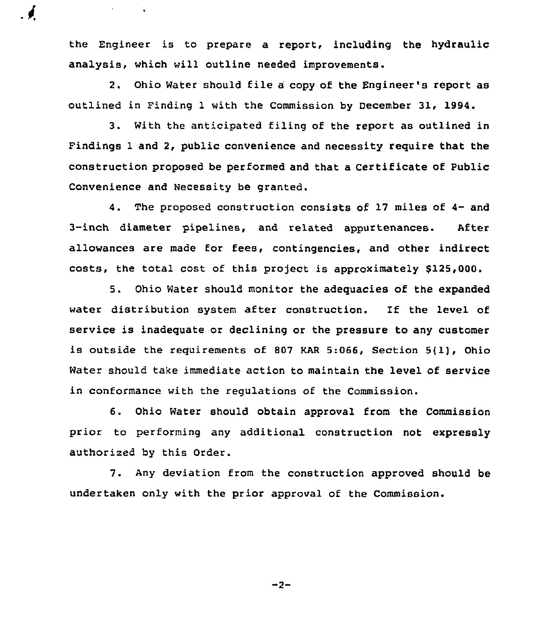the Engineer is to prepare a report, including the hydraulic analysis, which will outline needed improvements.

 $\epsilon=1$ 

2. Ohio Water should file <sup>a</sup> copy of the Engineer's report as outlined in Finding 1 with the Commission by December 31, 1994.

3. With the anticipated filing of the report as outlined in Findings 1 and 2, public convenience and necessity require that the construction proposed be performed and that a Certificate of Public Convenience and Necessity be granted.

4. The proposed construction consists of 17 miles of 4- and 3-inch diameter pipelines, and related appurtenances. After allowances are made for fees, contingencies, and other indirect costs, the total cost of this project is approximately \$125,000.

5. Ohio Water should monitor the adequacies of the expanded water distribution system after construction. If the level of service is inadequate or declining or the pressure to any customer is outside the requirements of <sup>507</sup> KAR 5:066, Section 5{1), Ohio Water should take immediate action to maintain the level of service in conformance with the regulations of the Commission.

6. Ohio Water should obtain approval from the Commission prior to performing any additional construction not expressly authorized by this Order.

7. Any deviation from the construction approved should be undertaken only with the prior approval of the Commission.

 $-2-$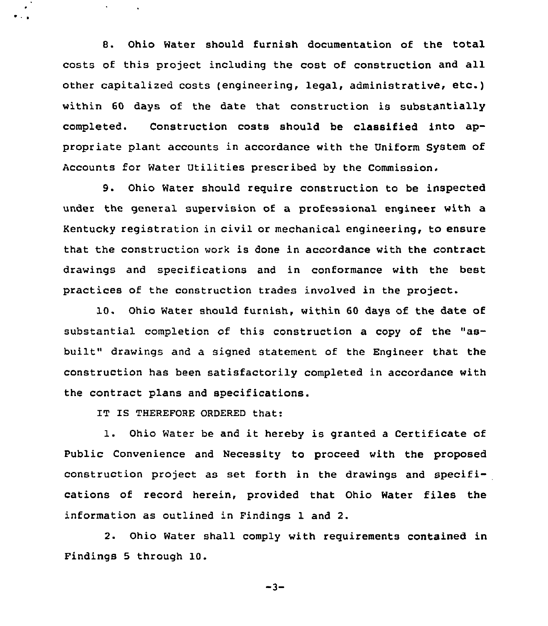8. Ohio Water should furnish documentation of the total costs of this project including the cost of construction and all other capitalized costs (engineering, legal, administrative, etc.) within 60 days of the date that construction is substantially completed. Construction costs should be classified into appropriate plant accounts in accordance with the Uniform System of Accounts for Water Utilities prescribed by the Commission.

9. Ohio Water should require construction to be inspected under the general supervision of a professional engineer with a Kentucky registration in civil or mechanical engineering, to ensure that the construction work is done in accordance with the contract drawings and specifications and in conformance with the best practices of the construction trades involved in the project.

10. Ohio Water should furnish, within 60 days of the date of substantial completion of this construction a copy of the "asbuilt" drawings and a signed statement of the Engineer that the construction has been satisfactorily completed in accordance with the contract plans and specifications.

IT IS THEREFORE ORDERED that:

l. Ohio Water be and it hereby is granted <sup>a</sup> Certificate of Public Convenience and Necessity to proceed with the proposed construction project as set forth in the drawings and specifications of record herein, provided that Ohio Water files the information as outlined in Findings 1 and 2.

2. Ohio Water shall comply with requirements contained in Findings <sup>5</sup> through 10.

 $-3-$